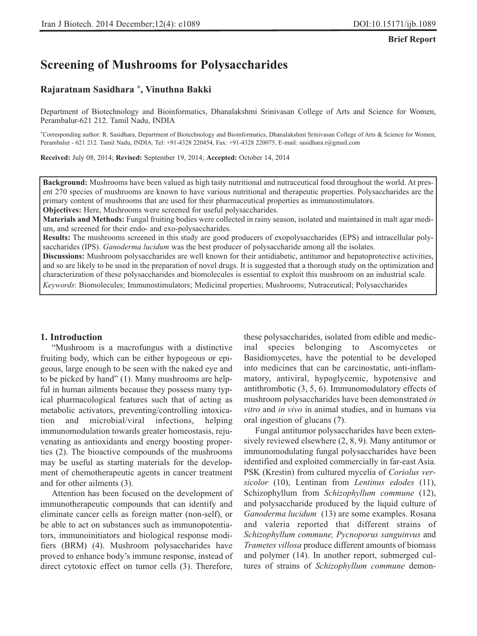#### **Brief Report**

# **Screening of Mushrooms for Polysaccharides**

#### **Rajaratnam Sasidhara \*, Vinuthna Bakki**

Department of Biotechnology and Bioinformatics, Dhanalakshmi Srinivasan College of Arts and Science for Women, Perambalur-621 212. Tamil Nadu, INDIA

\*Corresponding author: R. Sasidhara, Department of Biotechnology and Bioinformatics, Dhanalakshmi Srinivasan College of Arts & Science for Women, Perambalur - 621 212. Tamil Nadu, INDIA. Tel: +91-4328 220454, Fax: +91-4328 220075, E-mail: sasidhara.r@gmail.com

**Received:** July 08, 2014; **Revised:** September 19, 2014; **Accepted:** October 14, 2014

**Background:** Mushrooms have been valued as high tasty nutritional and nutraceutical food throughout the world. At present 270 species of mushrooms are known to have various nutritional and therapeutic properties. Polysaccharides are the primary content of mushrooms that are used for their pharmaceutical properties as immunostimulators.

**Objectives:** Here, Mushrooms were screened for useful polysaccharides.

**Materials and Methods:** Fungal fruiting bodies were collected in rainy season, isolated and maintained in malt agar medium, and screened for their endo- and exo-polysaccharides.

**Results:** The mushrooms screened in this study are good producers of exopolysaccharides (EPS) and intracellular polysaccharides (IPS). *Ganoderma lucidum* was the best producer of polysaccharide among all the isolates.

**Discussions:** Mushroom polysaccharides are well known for their antidiabetic, antitumor and hepatoprotective activities, and so are likely to be used in the preparation of novel drugs. It is suggested that a thorough study on the optimization and characterization of these polysaccharides and biomolecules is essential to exploit this mushroom on an industrial scale.

*Keywords*: Biomolecules; Immunostimulators; Medicinal properties; Mushrooms; Nutraceutical; Polysaccharides

#### **1. Introduction**

"Mushroom is a macrofungus with a distinctive fruiting body, which can be either hypogeous or epigeous, large enough to be seen with the naked eye and to be picked by hand" (1). Many mushrooms are helpful in human ailments because they possess many typical pharmacological features such that of acting as metabolic activators, preventing/controlling intoxication and microbial/viral infections, helping immunomodulation towards greater homeostasis, rejuvenating as antioxidants and energy boosting properties (2). The bioactive compounds of the mushrooms may be useful as starting materials for the development of chemotherapeutic agents in cancer treatment and for other ailments (3).

Attention has been focused on the development of immunotherapeutic compounds that can identify and eliminate cancer cells as foreign matter (non-self), or be able to act on substances such as immunopotentiators, immunoinitiators and biological response modifiers (BRM) (4). Mushroom polysaccharides have proved to enhance body's immune response, instead of direct cytotoxic effect on tumor cells (3). Therefore,

these polysaccharides, isolated from edible and medicinal species belonging to Ascomycetes or Basidiomycetes, have the potential to be developed into medicines that can be carcinostatic, anti-inflammatory, antiviral, hypoglycemic, hypotensive and antithrombotic (3, 5, 6). Immunomodulatory effects of mushroom polysaccharides have been demonstrated *in vitro* and *in vivo* in animal studies, and in humans via oral ingestion of glucans (7).

Fungal antitumor polysaccharides have been extensively reviewed elsewhere (2, 8, 9). Many antitumor or immunomodulating fungal polysaccharides have been identified and exploited commercially in far-east Asia. PSK (Krestin) from cultured mycelia of *Coriolus versicolor* (10), Lentinan from *Lentinus edodes* (11), Schizophyllum from *Schizophyllum commune* (12), and polysaccharide produced by the liquid culture of *Ganoderma lucidum* (13) are some examples. Rosana and valeria reported that different strains of *Schizophyllum commune, Pycnoporus sanguinvus* and *Trametes villosa* produce different amounts of biomass and polymer (14). In another report, submerged cultures of strains of *Schizophyllum commune* demon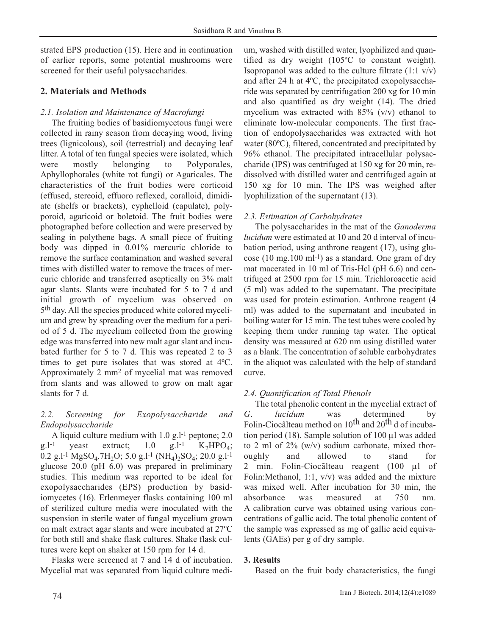strated EPS production (15). Here and in continuation of earlier reports, some potential mushrooms were screened for their useful polysaccharides.

## **2. Materials and Methods**

### *2.1. Isolation and Maintenance of Macrofungi*

The fruiting bodies of basidiomycetous fungi were collected in rainy season from decaying wood, living trees (lignicolous), soil (terrestrial) and decaying leaf litter. A total of ten fungal species were isolated, which were mostly belonging to Polyporales, Aphyllophorales (white rot fungi) or Agaricales. The characteristics of the fruit bodies were corticoid (effused, stereoid, effuoro reflexed, coralloid, dimidiate (shelfs or brackets), cyphelloid (capulate), polyporoid, agaricoid or boletoid. The fruit bodies were photographed before collection and were preserved by sealing in polythene bags. A small piece of fruiting body was dipped in 0.01% mercuric chloride to remove the surface contamination and washed several times with distilled water to remove the traces of mercuric chloride and transferred aseptically on 3% malt agar slants. Slants were incubated for 5 to 7 d and initial growth of mycelium was observed on 5th day. All the species produced white colored mycelium and grew by spreading over the medium for a period of 5 d. The mycelium collected from the growing edge was transferred into new malt agar slant and incubated further for 5 to 7 d. This was repeated 2 to 3 times to get pure isolates that was stored at 4ºC. Approximately 2 mm2 of mycelial mat was removed from slants and was allowed to grow on malt agar slants for 7 d.

## *2.2. Screening for Exopolysaccharide and Endopolysaccharide*

A liquid culture medium with  $1.0 \text{ g}$ .  $1$ <sup>-1</sup> peptone;  $2.0$ g.l<sup>-1</sup> yeast extract; 1.0 g.l<sup>-1</sup>  $K_2HPO_4$ ; 0.2 g.l<sup>-1</sup> MgSO<sub>4</sub>.7H<sub>2</sub>O; 5.0 g.l<sup>-1</sup> (NH<sub>4</sub>)<sub>2</sub>SO<sub>4</sub>; 20.0 g.l<sup>-1</sup> glucose 20.0 (pH 6.0) was prepared in preliminary studies. This medium was reported to be ideal for exopolysaccharides (EPS) production by basidiomycetes (16). Erlenmeyer flasks containing 100 ml of sterilized culture media were inoculated with the suspension in sterile water of fungal mycelium grown on malt extract agar slants and were incubated at 27ºC for both still and shake flask cultures. Shake flask cultures were kept on shaker at 150 rpm for 14 d.

Flasks were screened at 7 and 14 d of incubation. Mycelial mat was separated from liquid culture medium, washed with distilled water, lyophilized and quantified as dry weight (105ºC to constant weight). Isopropanol was added to the culture filtrate  $(1:1 \text{ v/v})$ and after 24 h at 4ºC, the precipitated exopolysaccharide was separated by centrifugation 200 xg for 10 min and also quantified as dry weight (14). The dried mycelium was extracted with 85% (v/v) ethanol to eliminate low-molecular components. The first fraction of endopolysaccharides was extracted with hot water (80ºC), filtered, concentrated and precipitated by 96% ethanol. The precipitated intracellular polysaccharide (IPS) was centrifuged at 150 xg for 20 min, redissolved with distilled water and centrifuged again at 150 xg for 10 min. The IPS was weighed after lyophilization of the supernatant (13).

## *2.3. Estimation of Carbohydrates*

The polysaccharides in the mat of the *Ganoderma lucidum* were estimated at 10 and 20 d interval of incubation period, using anthrone reagent (17), using glucose (10 mg.100 ml-1) as a standard. One gram of dry mat macerated in 10 ml of Tris-Hcl (pH 6.6) and centrifuged at 2500 rpm for 15 min. Trichloroacetic acid (5 ml) was added to the supernatant. The precipitate was used for protein estimation. Anthrone reagent (4 ml) was added to the supernatant and incubated in boiling water for 15 min. The test tubes were cooled by keeping them under running tap water. The optical density was measured at 620 nm using distilled water as a blank. The concentration of soluble carbohydrates in the aliquot was calculated with the help of standard curve.

## *2.4. Quantification of Total Phenols*

The total phenolic content in the mycelial extract of *G*. *lucidum* was determined by Folin-Ciocâlteau method on 10<sup>th</sup> and 20<sup>th</sup> d of incubation period (18). Sample solution of 100 μl was added to 2 ml of 2% (w/v) sodium carbonate, mixed thoroughly and allowed to stand for 2 min. Folin-Ciocãlteau reagent (100 μl of Folin:Methanol, 1:1, v/v) was added and the mixture was mixed well. After incubation for 30 min, the absorbance was measured at 750 nm. A calibration curve was obtained using various concentrations of gallic acid. The total phenolic content of the sample was expressed as mg of gallic acid equivalents (GAEs) per g of dry sample.

#### **3. Results**

Based on the fruit body characteristics, the fungi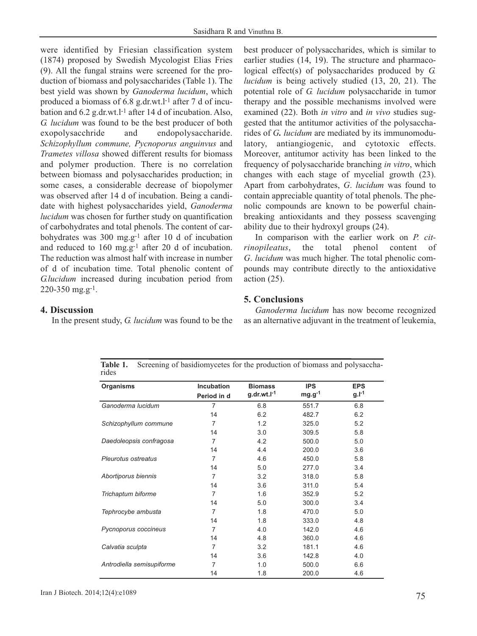were identified by Friesian classification system (1874) proposed by Swedish Mycologist Elias Fries (9). All the fungal strains were screened for the production of biomass and polysaccharides (Table 1). The best yield was shown by *Ganoderma lucidum*, which produced a biomass of 6.8 g.dr.wt.l-1 after 7 d of incubation and 6.2 g.dr.wt.l-1 after 14 d of incubation. Also, *G. lucidum* was found to be the best producer of both exopolysacchride and endopolysaccharide. *Schizophyllum commune, Pycnoporus anguinvus* and *Trametes villosa* showed different results for biomass and polymer production. There is no correlation between biomass and polysaccharides production; in some cases, a considerable decrease of biopolymer was observed after 14 d of incubation. Being a candidate with highest polysaccharides yield, *Ganoderma lucidum* was chosen for further study on quantification of carbohydrates and total phenols. The content of carbohydrates was 300 mg.g-1 after 10 d of incubation and reduced to 160 mg.g-1 after 20 d of incubation. The reduction was almost half with increase in number of d of incubation time. Total phenolic content of *G.lucidum* increased during incubation period from 220-350 mg.g-1.

best producer of polysaccharides, which is similar to earlier studies (14, 19). The structure and pharmacological effect(s) of polysaccharides produced by *G. lucidum* is being actively studied (13, 20, 21). The potential role of *G. lucidum* polysaccharide in tumor therapy and the possible mechanisms involved were examined (22). Both *in vitro* and *in vivo* studies suggested that the antitumor activities of the polysaccharides of *G. lucidum* are mediated by its immunomodulatory, antiangiogenic, and cytotoxic effects. Moreover, antitumor activity has been linked to the frequency of polysaccharide branching *in vitro*, which changes with each stage of mycelial growth (23). Apart from carbohydrates, *G*. *lucidum* was found to contain appreciable quantity of total phenols. The phenolic compounds are known to be powerful chainbreaking antioxidants and they possess scavenging ability due to their hydroxyl groups (24).

In comparison with the earlier work on *P. citrinopileatus*, the total phenol content of *G*. *lucidum* was much higher. The total phenolic compounds may contribute directly to the antioxidative action (25).

## **4. Discussion**

In the present study, *G. lucidum* was found to be the

*Ganoderma lucidum* has now become recognized as an alternative adjuvant in the treatment of leukemia,

**Organisms Incubation Period in d Biomass g.dr.wt.l-1 IPS mg.g-1 EPS g.l-1** *Ganoderma lucidum Schizophyllum commune Daedoleopsis confragosa Pleurotus ostreatus* 7 14 7 14 7 14 7 14 6.8 6.2 1.2 3.0 4.2 4.4 4.6 5.0 551.7 482.7 325.0 309.5 500.0 200.0 450.0 277.0 6.8 6.2 5.2 5.8 5.0 3.6 5.8 3.4 Table 1. Screening of basidiomycetes for the production of biomass and polysaccharides

**5. Conclusions**

| Organisms                 | Incubation<br>Period in d | <b>Biomass</b><br>$g.dr.wt.l^{-1}$ | <b>IPS</b><br>$mg.g^{-1}$ | <b>EPS</b><br>$g.l^{-1}$ |
|---------------------------|---------------------------|------------------------------------|---------------------------|--------------------------|
|                           |                           |                                    |                           |                          |
| 14                        | 6.2                       | 482.7                              | 6.2                       |                          |
| Schizophyllum commune     | 7                         | 1.2                                | 325.0                     | 5.2                      |
|                           | 14                        | 3.0                                | 309.5                     | 5.8                      |
| Daedoleopsis confragosa   | 7                         | 4.2                                | 500.0                     | 5.0                      |
|                           | 14                        | 4.4                                | 200.0                     | 3.6                      |
| Pleurotus ostreatus       | 7                         | 4.6                                | 450.0                     | 5.8                      |
|                           | 14                        | 5.0                                | 277.0                     | 3.4                      |
| Abortiporus biennis       | 7                         | 3.2                                | 318.0                     | 5.8                      |
|                           | 14                        | 3.6                                | 311.0                     | 5.4                      |
| Trichaptum biforme        | 7                         | 1.6                                | 352.9                     | 5.2                      |
|                           | 14                        | 5.0                                | 300.0                     | 3.4                      |
| Tephrocybe ambusta        | 7                         | 1.8                                | 470.0                     | 5.0                      |
|                           | 14                        | 1.8                                | 333.0                     | 4.8                      |
| Pycnoporus coccineus      | 7                         | 4.0                                | 142.0                     | 4.6                      |
|                           | 14                        | 4.8                                | 360.0                     | 4.6                      |
| Calvatia sculpta          | 7                         | 3.2                                | 181.1                     | 4.6                      |
|                           | 14                        | 3.6                                | 142.8                     | 4.0                      |
| Antrodiella semisupiforme | 7                         | 1.0                                | 500.0                     | 6.6                      |
|                           | 14                        | 1.8                                | 200.0                     | 4.6                      |